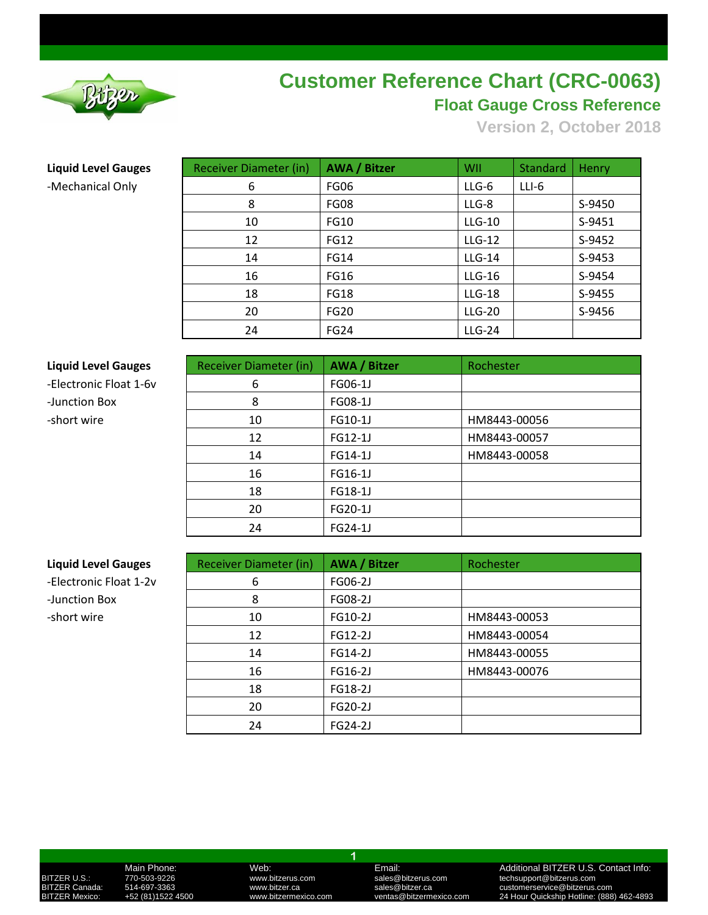

# **Customer Reference Chart (CRC-0063) Float Gauge Cross Reference**

**Version 2, October 2018**

**Liquid Level Gauges** 

-Mechanical Only

| <b>Receiver Diameter (in)</b> | <b>AWA / Bitzer</b> | WII           | Standard | Henry  |
|-------------------------------|---------------------|---------------|----------|--------|
| 6                             | FG06                | LLG-6         | LLI-6    |        |
| 8                             | FG08                | LLG-8         |          | S-9450 |
| 10                            | FG10                | LLG-10        |          | S-9451 |
| 12                            | <b>FG12</b>         | LLG-12        |          | S-9452 |
| 14                            | <b>FG14</b>         | $LLG-14$      |          | S-9453 |
| 16                            | <b>FG16</b>         | LLG-16        |          | S-9454 |
| 18                            | <b>FG18</b>         | <b>LLG-18</b> |          | S-9455 |
| 20                            | <b>FG20</b>         | $LLG-20$      |          | S-9456 |
| 24                            | <b>FG24</b>         | <b>LLG-24</b> |          |        |
|                               |                     |               |          |        |

| <b>Liquid Level Gauges</b> | <b>Receiver Diameter (in)</b> | <b>AWA / Bitzer</b> | Rochester    |
|----------------------------|-------------------------------|---------------------|--------------|
| -Electronic Float 1-6v     | 6                             | FG06-1J             |              |
| -Junction Box              | 8                             | FG08-1J             |              |
| -short wire                | 10                            | FG10-1J             | HM8443-00056 |
|                            | 12                            | FG12-1J             | HM8443-00057 |
|                            | 14                            | FG14-1J             | HM8443-00058 |
|                            | 16                            | FG16-1J             |              |
|                            | 18                            | FG18-1J             |              |
|                            | 20                            | FG20-1J             |              |
|                            |                               |                     |              |

24 FG24-1J

| <b>Liquid Level Gauges</b> | <b>Receiver Diameter (in)</b> | <b>AWA / Bitzer</b> | Rochester    |
|----------------------------|-------------------------------|---------------------|--------------|
| -Electronic Float 1-2v     | 6                             | FG06-2J             |              |
| -Junction Box              | 8                             | FG08-2J             |              |
| -short wire                | 10                            | FG10-2J             | HM8443-00053 |
|                            | 12                            | FG12-2J             | HM8443-00054 |
|                            | 14                            | FG14-2J             | HM8443-00055 |
|                            | 16                            | FG16-2J             | HM8443-00076 |
|                            | 18                            | FG18-2J             |              |
|                            | 20                            | FG20-2J             |              |
|                            | 24                            | FG24-2J             |              |

**1**

Main Phone: Web: Web: Email: Email: Additional BITZER U.S. Contact Info:<br>170-503-9226 www.bitzerus.com sales@bitzerus.com techsupport@bitzerus.com<br>14-697-3363 www.bitzer.ca sales@bitzer.ca customerservice@bitzerus.com BITZER U.S.: 770-503-9226 www.bitzerus.com sales@bitzerus.com techsupport@bitzerus.com BITZER Canada: 514-697-3363 www.bitzer.ca sales@bitzer.ca customerservice@bitzerus.com BITZER Mexico: +52 (81)1522 4500 www.bitzermexico.com ventas@bitzermexico.com 24 Hour Quickship Hotline: (888) 462-4893